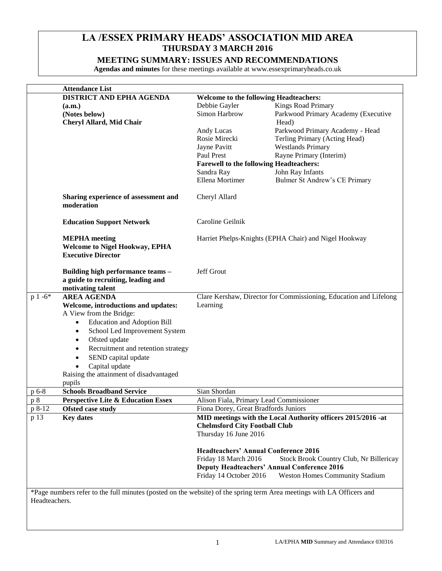# **LA /ESSEX PRIMARY HEADS' ASSOCIATION MID AREA THURSDAY 3 MARCH 2016**

# **MEETING SUMMARY: ISSUES AND RECOMMENDATIONS**

**Agendas and minutes** for these meetings available at www.essexprimaryheads.co.uk

|               | <b>Attendance List</b>                                                                                                |                                                       |                                                                   |  |  |  |
|---------------|-----------------------------------------------------------------------------------------------------------------------|-------------------------------------------------------|-------------------------------------------------------------------|--|--|--|
|               | <b>DISTRICT AND EPHA AGENDA</b>                                                                                       | <b>Welcome to the following Headteachers:</b>         |                                                                   |  |  |  |
|               | (a.m.)                                                                                                                | Debbie Gayler                                         | Kings Road Primary                                                |  |  |  |
|               | (Notes below)                                                                                                         | Simon Harbrow                                         | Parkwood Primary Academy (Executive                               |  |  |  |
|               | Cheryl Allard, Mid Chair                                                                                              |                                                       | Head)                                                             |  |  |  |
|               |                                                                                                                       | Andy Lucas                                            | Parkwood Primary Academy - Head                                   |  |  |  |
|               |                                                                                                                       | Rosie Mirecki                                         | Terling Primary (Acting Head)                                     |  |  |  |
|               |                                                                                                                       | Jayne Pavitt                                          | <b>Westlands Primary</b>                                          |  |  |  |
|               |                                                                                                                       | Paul Prest                                            | Rayne Primary (Interim)                                           |  |  |  |
|               |                                                                                                                       | <b>Farewell to the following Headteachers:</b>        |                                                                   |  |  |  |
|               |                                                                                                                       | Sandra Ray                                            | John Ray Infants                                                  |  |  |  |
|               |                                                                                                                       | Ellena Mortimer                                       | Bulmer St Andrew's CE Primary                                     |  |  |  |
|               |                                                                                                                       |                                                       |                                                                   |  |  |  |
|               | Sharing experience of assessment and<br>moderation                                                                    | Cheryl Allard                                         |                                                                   |  |  |  |
|               | <b>Education Support Network</b>                                                                                      | Caroline Geilnik                                      |                                                                   |  |  |  |
|               | <b>MEPHA</b> meeting                                                                                                  | Harriet Phelps-Knights (EPHA Chair) and Nigel Hookway |                                                                   |  |  |  |
|               | <b>Welcome to Nigel Hookway, EPHA</b><br><b>Executive Director</b>                                                    |                                                       |                                                                   |  |  |  |
|               | Building high performance teams -                                                                                     | Jeff Grout                                            |                                                                   |  |  |  |
|               | a guide to recruiting, leading and                                                                                    |                                                       |                                                                   |  |  |  |
|               | motivating talent                                                                                                     |                                                       |                                                                   |  |  |  |
| $p 1 -6*$     | <b>AREA AGENDA</b>                                                                                                    |                                                       | Clare Kershaw, Director for Commissioning, Education and Lifelong |  |  |  |
|               | Welcome, introductions and updates:                                                                                   | Learning                                              |                                                                   |  |  |  |
|               | A View from the Bridge:                                                                                               |                                                       |                                                                   |  |  |  |
|               | <b>Education and Adoption Bill</b><br>$\bullet$                                                                       |                                                       |                                                                   |  |  |  |
|               | School Led Improvement System<br>$\bullet$                                                                            |                                                       |                                                                   |  |  |  |
|               | Ofsted update<br>$\bullet$                                                                                            |                                                       |                                                                   |  |  |  |
|               | Recruitment and retention strategy<br>$\bullet$                                                                       |                                                       |                                                                   |  |  |  |
|               | SEND capital update<br>$\bullet$                                                                                      |                                                       |                                                                   |  |  |  |
|               | Capital update<br>$\bullet$                                                                                           |                                                       |                                                                   |  |  |  |
|               | Raising the attainment of disadvantaged                                                                               |                                                       |                                                                   |  |  |  |
|               | pupils                                                                                                                |                                                       |                                                                   |  |  |  |
| p 6-8         | <b>Schools Broadband Service</b>                                                                                      | Sian Shordan                                          |                                                                   |  |  |  |
| p 8           | <b>Perspective Lite &amp; Education Essex</b>                                                                         | Alison Fiala, Primary Lead Commissioner               |                                                                   |  |  |  |
| p 8-12        | <b>Ofsted case study</b>                                                                                              | Fiona Dorey, Great Bradfords Juniors                  |                                                                   |  |  |  |
| p 13          | <b>Key dates</b>                                                                                                      |                                                       | MID meetings with the Local Authority officers 2015/2016 -at      |  |  |  |
|               |                                                                                                                       | <b>Chelmsford City Football Club</b>                  |                                                                   |  |  |  |
|               |                                                                                                                       | Thursday 16 June 2016                                 |                                                                   |  |  |  |
|               |                                                                                                                       |                                                       |                                                                   |  |  |  |
|               |                                                                                                                       | <b>Headteachers' Annual Conference 2016</b>           |                                                                   |  |  |  |
|               |                                                                                                                       | Friday 18 March 2016                                  | Stock Brook Country Club, Nr Billericay                           |  |  |  |
|               |                                                                                                                       |                                                       | <b>Deputy Headteachers' Annual Conference 2016</b>                |  |  |  |
|               |                                                                                                                       | Friday 14 October 2016                                | <b>Weston Homes Community Stadium</b>                             |  |  |  |
|               | *Page numbers refer to the full minutes (posted on the website) of the spring term Area meetings with LA Officers and |                                                       |                                                                   |  |  |  |
| Headteachers. |                                                                                                                       |                                                       |                                                                   |  |  |  |
|               |                                                                                                                       |                                                       |                                                                   |  |  |  |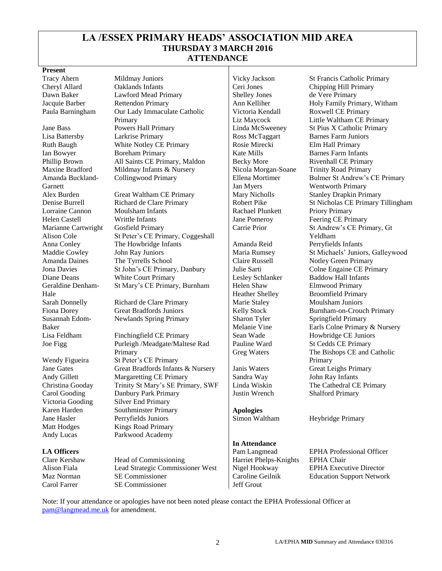# **LA /ESSEX PRIMARY HEADS' ASSOCIATION MID AREA THURSDAY 3 MARCH 2016 ATTENDANCE**

#### **Present**

Amanda Buckland-Garnett Marianne Cartwright Alison Cole Geraldine Denham-Hale Susannah Edom-Baker Joe Figg

Wendy Figueira

Tracy Ahern Mildmay Juniors Vicky Jackson St Francis Catholic Primary Cheryl Allard Oaklands Infants Ceri Jones Chipping Hill Primary Dawn Baker Lawford Mead Primary Shelley Jones de Vere Primary Jacquie Barber Rettendon Primary Ann Kelliher Holy Family Primary, Witham Paula Barningham Our Lady Immaculate Catholic Primary Jane Bass Powers Hall Primary Linda McSweeney St Pius X Catholic Primary Lisa Battersby Larkrise Primary Ross McTaggart Barnes Farm Juniors Ruth Baugh White Notley CE Primary Rosie Mirecki Elm Hall Primary Ian Bowyer Boreham Primary Rate Mills Barnes Farm Infants Phillip Brown All Saints CE Primary, Maldon | Becky More Rivenhall CE Primary Maxine Bradford Mildmay Infants & Nursery | Nicola Morgan-Soane Trinity Road Primary Collingwood Primary Ellena Mortimer

Alex Burden Great Waltham CE Primary Mary Nicholls Stanley Drapkin Primary Lorraine Cannon Moulsham Infants Rachael Plunkett Priory Primary Helen Castell **Writtle Infants** Jane Pomeroy Feering CE Primary Gosfield Primary St Peter's CE Primary, Coggeshall Anna Conley The Howbridge Infants | Amanda Reid Perryfields Infants Maddie Cowley John Ray Juniors Maria Rumsey St Michaels' Juniors, Galleywood Amanda Daines The Tyrrells School Claire Russell Notley Green Primary Jona Davies St John's CE Primary, Danbury Julie Sarti Colne Engaine CE Primary Diane Deans White Court Primary Lesley Schlanker Baddow Hall Infants St Mary's CE Primary, Burnham | Helen Shaw

Sarah Donnelly Richard de Clare Primary Marie Staley Moulsham Juniors Newlands Spring Primary Sharon Tyler

Lisa Feldham Finchingfield CE Primary Sean Wade Howbridge CE Juniors Purleigh /Meadgate/Maltese Rad Primary St Peter's CE Primary Jane Gates Great Bradfords Infants & Nursery Janis Waters Great Leighs Primary Andy Gillett Margaretting CE Primary Sandra Way John Ray Infants<br>
Christina Gooday Trinity St Mary's SE Primary, SWF Linda Wiskin The Cathedral CE Primary Christina Gooday Trinity St Mary's SE Primary, SWF Linda Wiskin Carol Gooding Danbury Park Primary Justin Wrench Shalford Primary Victoria Gooding Silver End Primary Karen Harden Southminster Primary **Apologies** Jane Hasler **Perryfields Juniors** Simon Waltham Heybridge Primary Matt Hodges Kings Road Primary Andy Lucas Parkwood Academy

Head of Commissioning Harriet Phelps-Knights EPHA Chair Alison Fiala Lead Strategic Commissioner West Nigel Hookway EPHA Executive Director Maz Norman SE Commissioner Caroline Geilnik Education Support Network Carol Farrer SE Commissioner Jeff Grout

Victoria Kendall Liz Maycock Jan Myers

Heather Shelley Melanie Vine Pauline Ward Greg Waters

# **In Attendance**

Roxwell CE Primary Little Waltham CE Primary Bulmer St Andrew's CE Primary Wentworth Primary Denise Burrell Richard de Clare Primary Robert Pike St Nicholas CE Primary Tillingham Carrie Prior St Andrew's CE Primary, Gt Yeldham Elmwood Primary Broomfield Primary Fiona Dorey Great Bradfords Juniors | Kelly Stock Burnham-on-Crouch Primary Springfield Primary Earls Colne Primary & Nursery St Cedds CE Primary The Bishops CE and Catholic Primary

**LA Officers**<br>
Clare Kershaw Head of Commissioning<br>
Pam Langmead EPHA Professional Officer<br>
Harriet Phelps-Knights EPHA Chair

Note: If your attendance or apologies have not been noted please contact the EPHA Professional Officer at [pam@langmead.me.uk](mailto:pam@langmead.me.uk) for amendment.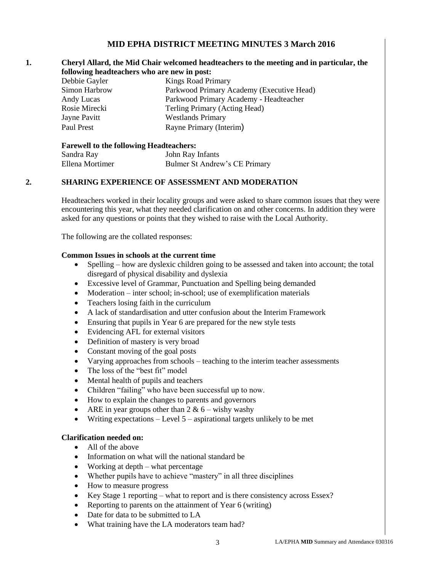## **MID EPHA DISTRICT MEETING MINUTES 3 March 2016**

#### **1. Cheryl Allard, the Mid Chair welcomed headteachers to the meeting and in particular, the following headteachers who are new in post:**

| Debbie Gayler | <b>Kings Road Primary</b>                 |
|---------------|-------------------------------------------|
| Simon Harbrow | Parkwood Primary Academy (Executive Head) |
| Andy Lucas    | Parkwood Primary Academy - Headteacher    |
| Rosie Mirecki | Terling Primary (Acting Head)             |
| Jayne Pavitt  | <b>Westlands Primary</b>                  |
| Paul Prest    | Rayne Primary (Interim)                   |

#### **Farewell to the following Headteachers:**

| Sandra Ray      | John Ray Infants              |
|-----------------|-------------------------------|
| Ellena Mortimer | Bulmer St Andrew's CE Primary |

### **2. SHARING EXPERIENCE OF ASSESSMENT AND MODERATION**

Headteachers worked in their locality groups and were asked to share common issues that they were encountering this year, what they needed clarification on and other concerns. In addition they were asked for any questions or points that they wished to raise with the Local Authority.

The following are the collated responses:

#### **Common Issues in schools at the current time**

- Spelling how are dyslexic children going to be assessed and taken into account; the total disregard of physical disability and dyslexia
- Excessive level of Grammar, Punctuation and Spelling being demanded
- Moderation inter school; in-school; use of exemplification materials
- Teachers losing faith in the curriculum
- A lack of standardisation and utter confusion about the Interim Framework
- Ensuring that pupils in Year 6 are prepared for the new style tests
- Evidencing AFL for external visitors
- Definition of mastery is very broad
- Constant moving of the goal posts
- Varying approaches from schools teaching to the interim teacher assessments
- The loss of the "best fit" model
- Mental health of pupils and teachers
- Children "failing" who have been successful up to now.
- How to explain the changes to parents and governors
- ARE in year groups other than  $2 \& 6$  wishy washy
- Writing expectations Level 5 aspirational targets unlikely to be met

#### **Clarification needed on:**

- All of the above
- Information on what will the national standard be
- Working at depth what percentage
- Whether pupils have to achieve "mastery" in all three disciplines
- How to measure progress
- Key Stage 1 reporting what to report and is there consistency across Essex?
- Reporting to parents on the attainment of Year 6 (writing)
- Date for data to be submitted to LA
- What training have the LA moderators team had?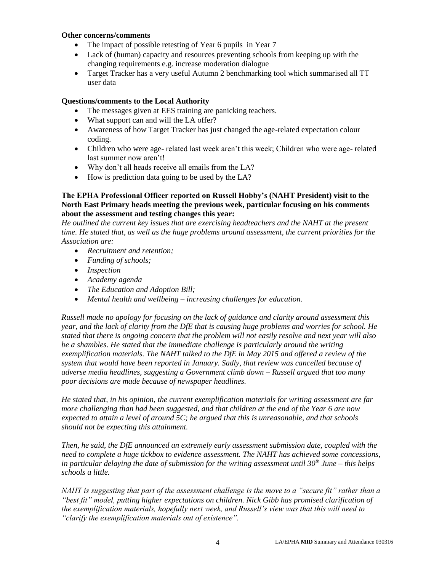#### **Other concerns/comments**

- The impact of possible retesting of Year 6 pupils in Year 7
- Lack of (human) capacity and resources preventing schools from keeping up with the changing requirements e.g. increase moderation dialogue
- Target Tracker has a very useful Autumn 2 benchmarking tool which summarised all TT user data

#### **Questions/comments to the Local Authority**

- The messages given at EES training are panicking teachers.
- What support can and will the LA offer?
- Awareness of how Target Tracker has just changed the age-related expectation colour coding.
- Children who were age- related last week aren't this week; Children who were age- related last summer now aren't!
- Why don't all heads receive all emails from the LA?
- How is prediction data going to be used by the LA?

#### **The EPHA Professional Officer reported on Russell Hobby's (NAHT President) visit to the North East Primary heads meeting the previous week, particular focusing on his comments about the assessment and testing changes this year:**

*He outlined the current key issues that are exercising headteachers and the NAHT at the present time. He stated that, as well as the huge problems around assessment, the current priorities for the Association are:*

- *Recruitment and retention;*
- *Funding of schools;*
- *Inspection*
- *Academy agenda*
- *The Education and Adoption Bill;*
- *Mental health and wellbeing – increasing challenges for education.*

*Russell made no apology for focusing on the lack of guidance and clarity around assessment this year, and the lack of clarity from the DfE that is causing huge problems and worries for school. He stated that there is ongoing concern that the problem will not easily resolve and next year will also be a shambles. He stated that the immediate challenge is particularly around the writing exemplification materials. The NAHT talked to the DfE in May 2015 and offered a review of the system that would have been reported in January. Sadly, that review was cancelled because of adverse media headlines, suggesting a Government climb down – Russell argued that too many poor decisions are made because of newspaper headlines.*

*He stated that, in his opinion, the current exemplification materials for writing assessment are far more challenging than had been suggested, and that children at the end of the Year 6 are now expected to attain a level of around 5C; he argued that this is unreasonable, and that schools should not be expecting this attainment.*

*Then, he said, the DfE announced an extremely early assessment submission date, coupled with the need to complete a huge tickbox to evidence assessment. The NAHT has achieved some concessions, in particular delaying the date of submission for the writing assessment until 30th June – this helps schools a little.*

*NAHT is suggesting that part of the assessment challenge is the move to a "secure fit" rather than a "best fit" model, putting higher expectations on children. Nick Gibb has promised clarification of the exemplification materials, hopefully next week, and Russell's view was that this will need to "clarify the exemplification materials out of existence".*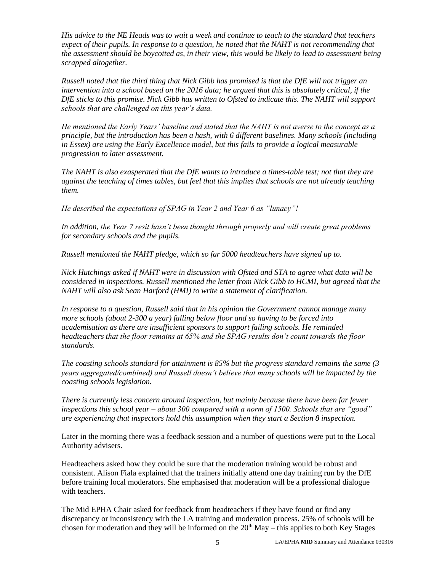*His advice to the NE Heads was to wait a week and continue to teach to the standard that teachers expect of their pupils. In response to a question, he noted that the NAHT is not recommending that the assessment should be boycotted as, in their view, this would be likely to lead to assessment being scrapped altogether.*

*Russell noted that the third thing that Nick Gibb has promised is that the DfE will not trigger an intervention into a school based on the 2016 data; he argued that this is absolutely critical, if the DfE sticks to this promise. Nick Gibb has written to Ofsted to indicate this. The NAHT will support schools that are challenged on this year's data.*

*He mentioned the Early Years' baseline and stated that the NAHT is not averse to the concept as a principle, but the introduction has been a hash, with 6 different baselines. Many schools (including in Essex) are using the Early Excellence model, but this fails to provide a logical measurable progression to later assessment.*

*The NAHT is also exasperated that the DfE wants to introduce a times-table test; not that they are against the teaching of times tables, but feel that this implies that schools are not already teaching them.* 

*He described the expectations of SPAG in Year 2 and Year 6 as "lunacy"!*

*In addition, the Year 7 resit hasn't been thought through properly and will create great problems for secondary schools and the pupils.*

*Russell mentioned the NAHT pledge, which so far 5000 headteachers have signed up to.*

*Nick Hutchings asked if NAHT were in discussion with Ofsted and STA to agree what data will be considered in inspections. Russell mentioned the letter from Nick Gibb to HCMI, but agreed that the NAHT will also ask Sean Harford (HMI) to write a statement of clarification.* 

*In response to a question, Russell said that in his opinion the Government cannot manage many more schools (about 2-300 a year) falling below floor and so having to be forced into academisation as there are insufficient sponsors to support failing schools. He reminded headteachers that the floor remains at 65% and the SPAG results don't count towards the floor standards.*

*The coasting schools standard for attainment is 85% but the progress standard remains the same (3 years aggregated/combined) and Russell doesn't believe that many schools will be impacted by the coasting schools legislation.*

*There is currently less concern around inspection, but mainly because there have been far fewer inspections this school year – about 300 compared with a norm of 1500. Schools that are "good" are experiencing that inspectors hold this assumption when they start a Section 8 inspection.*

Later in the morning there was a feedback session and a number of questions were put to the Local Authority advisers.

Headteachers asked how they could be sure that the moderation training would be robust and consistent. Alison Fiala explained that the trainers initially attend one day training run by the DfE before training local moderators. She emphasised that moderation will be a professional dialogue with teachers.

The Mid EPHA Chair asked for feedback from headteachers if they have found or find any discrepancy or inconsistency with the LA training and moderation process. 25% of schools will be chosen for moderation and they will be informed on the  $20<sup>th</sup>$  May – this applies to both Key Stages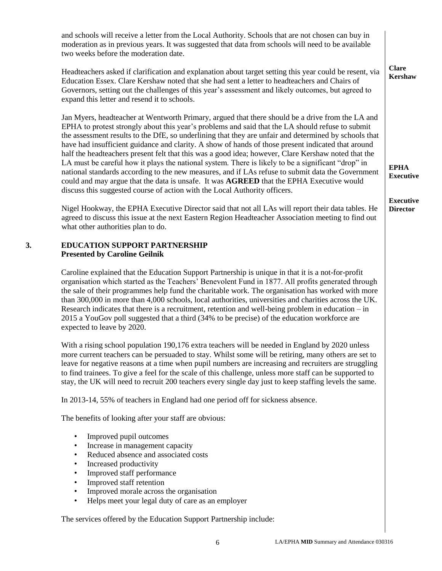and schools will receive a letter from the Local Authority. Schools that are not chosen can buy in moderation as in previous years. It was suggested that data from schools will need to be available two weeks before the moderation date. Headteachers asked if clarification and explanation about target setting this year could be resent, via Education Essex. Clare Kershaw noted that she had sent a letter to headteachers and Chairs of Governors, setting out the challenges of this year's assessment and likely outcomes, but agreed to expand this letter and resend it to schools. Jan Myers, headteacher at Wentworth Primary, argued that there should be a drive from the LA and EPHA to protest strongly about this year's problems and said that the LA should refuse to submit the assessment results to the DfE, so underlining that they are unfair and determined by schools that have had insufficient guidance and clarity. A show of hands of those present indicated that around half the headteachers present felt that this was a good idea; however, Clare Kershaw noted that the LA must be careful how it plays the national system. There is likely to be a significant "drop" in national standards according to the new measures, and if LAs refuse to submit data the Government could and may argue that the data is unsafe. It was **AGREED** that the EPHA Executive would discuss this suggested course of action with the Local Authority officers. Nigel Hookway, the EPHA Executive Director said that not all LAs will report their data tables. He agreed to discuss this issue at the next Eastern Region Headteacher Association meeting to find out what other authorities plan to do. **Clare Kershaw EPHA Executive Executive Director 3. EDUCATION SUPPORT PARTNERSHIP Presented by Caroline Geilnik** Caroline explained that the Education Support Partnership is unique in that it is a not-for-profit organisation which started as the Teachers' Benevolent Fund in 1877. All profits generated through the sale of their programmes help fund the charitable work. The organisation has worked with more than 300,000 in more than 4,000 schools, local authorities, universities and charities across the UK. Research indicates that there is a recruitment, retention and well-being problem in education – in 2015 a YouGov poll suggested that a third (34% to be precise) of the education workforce are expected to leave by 2020. With a rising school population 190,176 extra teachers will be needed in England by 2020 unless more current teachers can be persuaded to stay. Whilst some will be retiring, many others are set to leave for negative reasons at a time when pupil numbers are increasing and recruiters are struggling to find trainees. To give a feel for the scale of this challenge, unless more staff can be supported to stay, the UK will need to recruit 200 teachers every single day just to keep staffing levels the same. In 2013-14, 55% of teachers in England had one period off for sickness absence. The benefits of looking after your staff are obvious: • Improved pupil outcomes Increase in management capacity Reduced absence and associated costs Increased productivity • Improved staff performance • Improved staff retention • Improved morale across the organisation • Helps meet your legal duty of care as an employer The services offered by the Education Support Partnership include: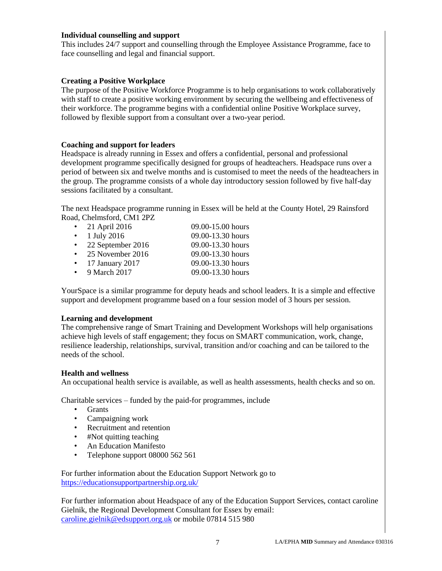#### **Individual counselling and support**

This includes 24/7 support and counselling through the Employee Assistance Programme, face to face counselling and legal and financial support.

#### **Creating a Positive Workplace**

The purpose of the Positive Workforce Programme is to help organisations to work collaboratively with staff to create a positive working environment by securing the wellbeing and effectiveness of their workforce. The programme begins with a confidential online Positive Workplace survey, followed by flexible support from a consultant over a two-year period.

#### **Coaching and support for leaders**

Headspace is already running in Essex and offers a confidential, personal and professional development programme specifically designed for groups of headteachers. Headspace runs over a period of between six and twelve months and is customised to meet the needs of the headteachers in the group. The programme consists of a whole day introductory session followed by five half-day sessions facilitated by a consultant.

The next Headspace programme running in Essex will be held at the County Hotel, 29 Rainsford Road, Chelmsford, CM1 2PZ

| $\bullet$ | 21 April 2016     | 09.00-15.00 hours |
|-----------|-------------------|-------------------|
| $\bullet$ | 1 July 2016       | 09.00-13.30 hours |
| $\bullet$ | 22 September 2016 | 09.00-13.30 hours |
|           | 25 November 2016  | 09.00-13.30 hours |
|           | 17 January 2017   | 09.00-13.30 hours |
|           | 9 March 2017      | 09.00-13.30 hours |
|           |                   |                   |

YourSpace is a similar programme for deputy heads and school leaders. It is a simple and effective support and development programme based on a four session model of 3 hours per session.

### **Learning and development**

The comprehensive range of Smart Training and Development Workshops will help organisations achieve high levels of staff engagement; they focus on SMART communication, work, change, resilience leadership, relationships, survival, transition and/or coaching and can be tailored to the needs of the school.

#### **Health and wellness**

An occupational health service is available, as well as health assessments, health checks and so on.

Charitable services – funded by the paid-for programmes, include

- Grants
- Campaigning work
- Recruitment and retention
- #Not quitting teaching
- An Education Manifesto
- Telephone support 08000 562 561

For further information about the Education Support Network go to <https://educationsupportpartnership.org.uk/>

For further information about Headspace of any of the Education Support Services, contact caroline Gielnik, the Regional Development Consultant for Essex by email: [caroline.gielnik@edsupport.org.uk](mailto:caroline.gielnik@edsupport.org.uk) or mobile 07814 515 980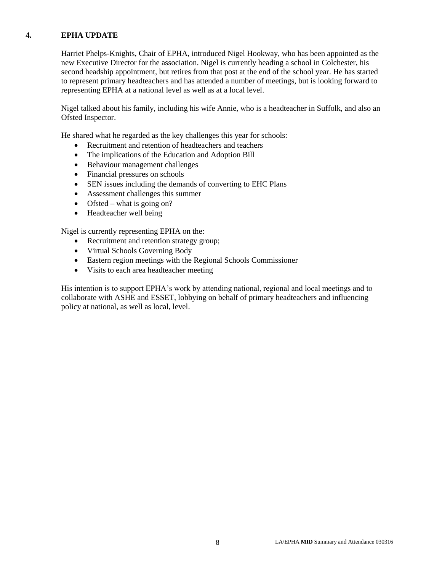## **4. EPHA UPDATE**

Harriet Phelps-Knights, Chair of EPHA, introduced Nigel Hookway, who has been appointed as the new Executive Director for the association. Nigel is currently heading a school in Colchester, his second headship appointment, but retires from that post at the end of the school year. He has started to represent primary headteachers and has attended a number of meetings, but is looking forward to representing EPHA at a national level as well as at a local level.

Nigel talked about his family, including his wife Annie, who is a headteacher in Suffolk, and also an Ofsted Inspector.

He shared what he regarded as the key challenges this year for schools:

- Recruitment and retention of headteachers and teachers
- The implications of the Education and Adoption Bill
- Behaviour management challenges
- Financial pressures on schools
- SEN issues including the demands of converting to EHC Plans
- Assessment challenges this summer
- Ofsted what is going on?
- Headteacher well being

Nigel is currently representing EPHA on the:

- Recruitment and retention strategy group;
- Virtual Schools Governing Body
- Eastern region meetings with the Regional Schools Commissioner
- Visits to each area headteacher meeting

His intention is to support EPHA's work by attending national, regional and local meetings and to collaborate with ASHE and ESSET, lobbying on behalf of primary headteachers and influencing policy at national, as well as local, level.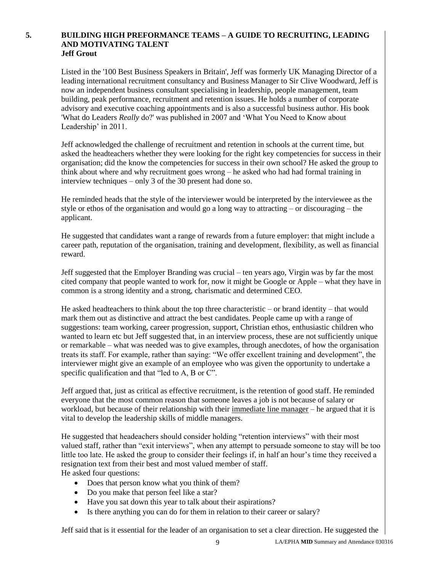#### **5. BUILDING HIGH PREFORMANCE TEAMS – A GUIDE TO RECRUITING, LEADING AND MOTIVATING TALENT Jeff Grout**

Listed in the '100 Best Business Speakers in Britain', Jeff was formerly UK Managing Director of a leading international recruitment consultancy and Business Manager to Sir Clive Woodward, Jeff is now an independent business consultant specialising in leadership, people management, team building, peak performance, recruitment and retention issues. He holds a number of corporate advisory and executive coaching appointments and is also a successful business author. His book 'What do Leaders *Really* do?' was published in 2007 and 'What You Need to Know about Leadership' in 2011.

Jeff acknowledged the challenge of recruitment and retention in schools at the current time, but asked the headteachers whether they were looking for the right key competencies for success in their organisation; did the know the competencies for success in their own school? He asked the group to think about where and why recruitment goes wrong – he asked who had had formal training in interview techniques – only 3 of the 30 present had done so.

He reminded heads that the style of the interviewer would be interpreted by the interviewee as the style or ethos of the organisation and would go a long way to attracting – or discouraging – the applicant.

He suggested that candidates want a range of rewards from a future employer: that might include a career path, reputation of the organisation, training and development, flexibility, as well as financial reward.

Jeff suggested that the Employer Branding was crucial – ten years ago, Virgin was by far the most cited company that people wanted to work for, now it might be Google or Apple – what they have in common is a strong identity and a strong, charismatic and determined CEO.

He asked headteachers to think about the top three characteristic – or brand identity – that would mark them out as distinctive and attract the best candidates. People came up with a range of suggestions: team working, career progression, support, Christian ethos, enthusiastic children who wanted to learn etc but Jeff suggested that, in an interview process, these are not sufficiently unique or remarkable – what was needed was to give examples, through anecdotes, of how the organisation treats its staff. For example, rather than saying: "We offer excellent training and development", the interviewer might give an example of an employee who was given the opportunity to undertake a specific qualification and that "led to A, B or C".

Jeff argued that, just as critical as effective recruitment, is the retention of good staff. He reminded everyone that the most common reason that someone leaves a job is not because of salary or workload, but because of their relationship with their immediate line manager – he argued that it is vital to develop the leadership skills of middle managers.

He suggested that headeachers should consider holding "retention interviews" with their most valued staff, rather than "exit interviews", when any attempt to persuade someone to stay will be too little too late. He asked the group to consider their feelings if, in half an hour's time they received a resignation text from their best and most valued member of staff. He asked four questions:

- Does that person know what you think of them?
- Do you make that person feel like a star?
- Have you sat down this year to talk about their aspirations?
- Is there anything you can do for them in relation to their career or salary?

Jeff said that is it essential for the leader of an organisation to set a clear direction. He suggested the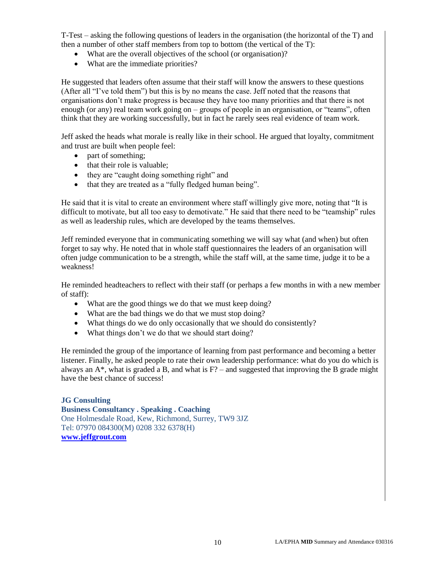T-Test – asking the following questions of leaders in the organisation (the horizontal of the T) and then a number of other staff members from top to bottom (the vertical of the T):

- What are the overall objectives of the school (or organisation)?
- What are the immediate priorities?

He suggested that leaders often assume that their staff will know the answers to these questions (After all "I've told them") but this is by no means the case. Jeff noted that the reasons that organisations don't make progress is because they have too many priorities and that there is not enough (or any) real team work going on – groups of people in an organisation, or "teams", often think that they are working successfully, but in fact he rarely sees real evidence of team work.

Jeff asked the heads what morale is really like in their school. He argued that loyalty, commitment and trust are built when people feel:

- part of something;
- that their role is valuable;
- they are "caught doing something right" and
- that they are treated as a "fully fledged human being".

He said that it is vital to create an environment where staff willingly give more, noting that "It is difficult to motivate, but all too easy to demotivate." He said that there need to be "teamship" rules as well as leadership rules, which are developed by the teams themselves.

Jeff reminded everyone that in communicating something we will say what (and when) but often forget to say why. He noted that in whole staff questionnaires the leaders of an organisation will often judge communication to be a strength, while the staff will, at the same time, judge it to be a weakness!

He reminded headteachers to reflect with their staff (or perhaps a few months in with a new member of staff):

- What are the good things we do that we must keep doing?
- What are the bad things we do that we must stop doing?
- What things do we do only occasionally that we should do consistently?
- What things don't we do that we should start doing?

He reminded the group of the importance of learning from past performance and becoming a better listener. Finally, he asked people to rate their own leadership performance: what do you do which is always an  $A^*$ , what is graded a B, and what is  $F$ ? – and suggested that improving the B grade might have the best chance of success!

#### **JG Consulting Business Consultancy . Speaking . Coaching**  One Holmesdale Road, Kew, Richmond, Surrey, TW9 3JZ Tel: 07970 084300(M) 0208 332 6378(H) **[www.jeffgrout.com](http://www.jeffgrout.com/)**